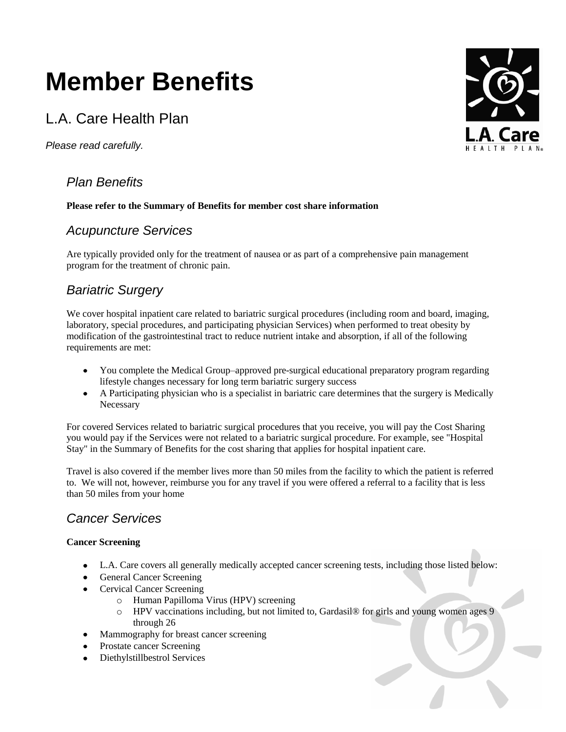# **Member Benefits**

# L.A. Care Health Plan

*Please read carefully.*

# *Plan Benefits*

# **Please refer to the Summary of Benefits for member cost share information**

# *Acupuncture Services*

Are typically provided only for the treatment of nausea or as part of a comprehensive pain management program for the treatment of chronic pain.

# *Bariatric Surgery*

We cover hospital inpatient care related to bariatric surgical procedures (including room and board, imaging, laboratory, special procedures, and participating physician Services) when performed to treat obesity by modification of the gastrointestinal tract to reduce nutrient intake and absorption, if all of the following requirements are met:

- You complete the Medical Group–approved pre-surgical educational preparatory program regarding  $\bullet$ lifestyle changes necessary for long term bariatric surgery success
- A Participating physician who is a specialist in bariatric care determines that the surgery is Medically **Necessary**

For covered Services related to bariatric surgical procedures that you receive, you will pay the Cost Sharing you would pay if the Services were not related to a bariatric surgical procedure. For example, see "Hospital Stay" in the Summary of Benefits for the cost sharing that applies for hospital inpatient care.

Travel is also covered if the member lives more than 50 miles from the facility to which the patient is referred to. We will not, however, reimburse you for any travel if you were offered a referral to a facility that is less than 50 miles from your home

# *Cancer Services*

# **Cancer Screening**

- L.A. Care covers all generally medically accepted cancer screening tests, including those listed below:
- General Cancer Screening
- Cervical Cancer Screening
	- o Human Papilloma Virus (HPV) screening
	- o HPV vaccinations including, but not limited to, Gardasil® for girls and young women ages 9 through 26
- Mammography for breast cancer screening
- Prostate cancer Screening
- Diethylstillbestrol Services

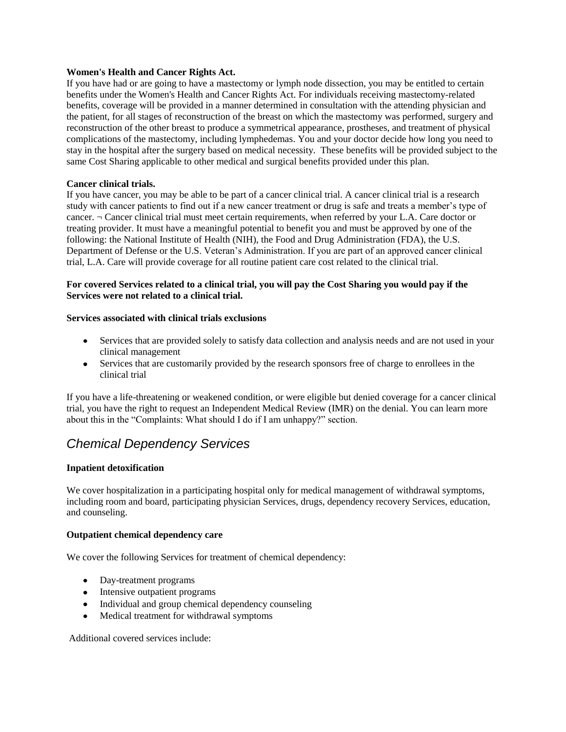#### **Women's Health and Cancer Rights Act.**

If you have had or are going to have a mastectomy or lymph node dissection, you may be entitled to certain benefits under the Women's Health and Cancer Rights Act. For individuals receiving mastectomy-related benefits, coverage will be provided in a manner determined in consultation with the attending physician and the patient, for all stages of reconstruction of the breast on which the mastectomy was performed, surgery and reconstruction of the other breast to produce a symmetrical appearance, prostheses, and treatment of physical complications of the mastectomy, including lymphedemas. You and your doctor decide how long you need to stay in the hospital after the surgery based on medical necessity. These benefits will be provided subject to the same Cost Sharing applicable to other medical and surgical benefits provided under this plan.

### **Cancer clinical trials.**

If you have cancer, you may be able to be part of a cancer clinical trial. A cancer clinical trial is a research study with cancer patients to find out if a new cancer treatment or drug is safe and treats a member's type of cancer. ¬ Cancer clinical trial must meet certain requirements, when referred by your L.A. Care doctor or treating provider. It must have a meaningful potential to benefit you and must be approved by one of the following: the National Institute of Health (NIH), the Food and Drug Administration (FDA), the U.S. Department of Defense or the U.S. Veteran's Administration. If you are part of an approved cancer clinical trial, L.A. Care will provide coverage for all routine patient care cost related to the clinical trial.

### **For covered Services related to a clinical trial, you will pay the Cost Sharing you would pay if the Services were not related to a clinical trial.**

### **Services associated with clinical trials exclusions**

- Services that are provided solely to satisfy data collection and analysis needs and are not used in your clinical management
- Services that are customarily provided by the research sponsors free of charge to enrollees in the clinical trial

If you have a life-threatening or weakened condition, or were eligible but denied coverage for a cancer clinical trial, you have the right to request an Independent Medical Review (IMR) on the denial. You can learn more about this in the "Complaints: What should I do if I am unhappy?" section.

# *Chemical Dependency Services*

### **Inpatient detoxification**

We cover hospitalization in a participating hospital only for medical management of withdrawal symptoms, including room and board, participating physician Services, drugs, dependency recovery Services, education, and counseling.

### **Outpatient chemical dependency care**

We cover the following Services for treatment of chemical dependency:

- Day-treatment programs
- Intensive outpatient programs
- Individual and group chemical dependency counseling
- Medical treatment for withdrawal symptoms

Additional covered services include: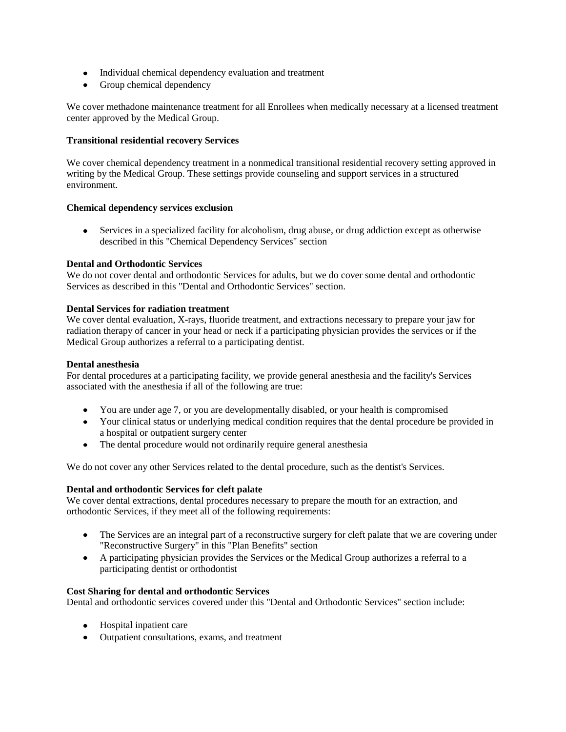- Individual chemical dependency evaluation and treatment
- Group chemical dependency

We cover methadone maintenance treatment for all Enrollees when medically necessary at a licensed treatment center approved by the Medical Group.

### **Transitional residential recovery Services**

We cover chemical dependency treatment in a nonmedical transitional residential recovery setting approved in writing by the Medical Group. These settings provide counseling and support services in a structured environment.

### **Chemical dependency services exclusion**

Services in a specialized facility for alcoholism, drug abuse, or drug addiction except as otherwise described in this "Chemical Dependency Services" section

### **Dental and Orthodontic Services**

We do not cover dental and orthodontic Services for adults, but we do cover some dental and orthodontic Services as described in this "Dental and Orthodontic Services" section.

### **Dental Services for radiation treatment**

We cover dental evaluation, X-rays, fluoride treatment, and extractions necessary to prepare your jaw for radiation therapy of cancer in your head or neck if a participating physician provides the services or if the Medical Group authorizes a referral to a participating dentist.

#### **Dental anesthesia**

For dental procedures at a participating facility, we provide general anesthesia and the facility's Services associated with the anesthesia if all of the following are true:

- You are under age 7, or you are developmentally disabled, or your health is compromised
- Your clinical status or underlying medical condition requires that the dental procedure be provided in a hospital or outpatient surgery center
- The dental procedure would not ordinarily require general anesthesia

We do not cover any other Services related to the dental procedure, such as the dentist's Services.

### **Dental and orthodontic Services for cleft palate**

We cover dental extractions, dental procedures necessary to prepare the mouth for an extraction, and orthodontic Services, if they meet all of the following requirements:

- The Services are an integral part of a reconstructive surgery for cleft palate that we are covering under "Reconstructive Surgery" in this "Plan Benefits" section
- A participating physician provides the Services or the Medical Group authorizes a referral to a participating dentist or orthodontist

#### **Cost Sharing for dental and orthodontic Services**

Dental and orthodontic services covered under this "Dental and Orthodontic Services" section include:

- Hospital inpatient care
- Outpatient consultations, exams, and treatment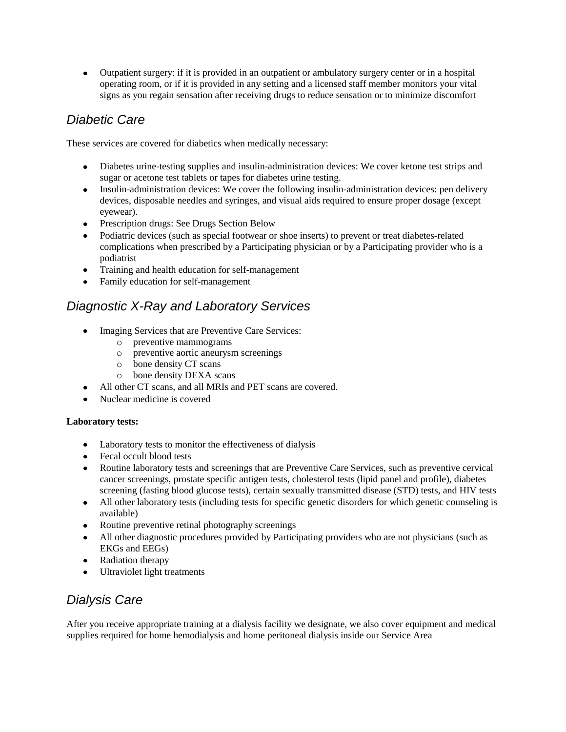Outpatient surgery: if it is provided in an outpatient or ambulatory surgery center or in a hospital operating room, or if it is provided in any setting and a licensed staff member monitors your vital signs as you regain sensation after receiving drugs to reduce sensation or to minimize discomfort

# *Diabetic Care*

These services are covered for diabetics when medically necessary:

- Diabetes urine-testing supplies and insulin-administration devices: We cover ketone test strips and sugar or acetone test tablets or tapes for diabetes urine testing.
- Insulin-administration devices: We cover the following insulin-administration devices: pen delivery devices, disposable needles and syringes, and visual aids required to ensure proper dosage (except eyewear).
- Prescription drugs: See Drugs Section Below
- Podiatric devices (such as special footwear or shoe inserts) to prevent or treat diabetes-related complications when prescribed by a Participating physician or by a Participating provider who is a podiatrist
- Training and health education for self-management  $\bullet$
- Family education for self-management

# *Diagnostic X-Ray and Laboratory Services*

- Imaging Services that are Preventive Care Services:
	- o preventive mammograms
	- o preventive aortic aneurysm screenings
	- o bone density CT scans
	- o bone density DEXA scans
- All other CT scans, and all MRIs and PET scans are covered.  $\bullet$
- Nuclear medicine is covered  $\bullet$

### **Laboratory tests:**

- Laboratory tests to monitor the effectiveness of dialysis
- Fecal occult blood tests
- Routine laboratory tests and screenings that are Preventive Care Services, such as preventive cervical cancer screenings, prostate specific antigen tests, cholesterol tests (lipid panel and profile), diabetes screening (fasting blood glucose tests), certain sexually transmitted disease (STD) tests, and HIV tests
- All other laboratory tests (including tests for specific genetic disorders for which genetic counseling is available)
- Routine preventive retinal photography screenings
- All other diagnostic procedures provided by Participating providers who are not physicians (such as EKGs and EEGs)
- Radiation therapy
- Ultraviolet light treatments

# *Dialysis Care*

After you receive appropriate training at a dialysis facility we designate, we also cover equipment and medical supplies required for home hemodialysis and home peritoneal dialysis inside our Service Area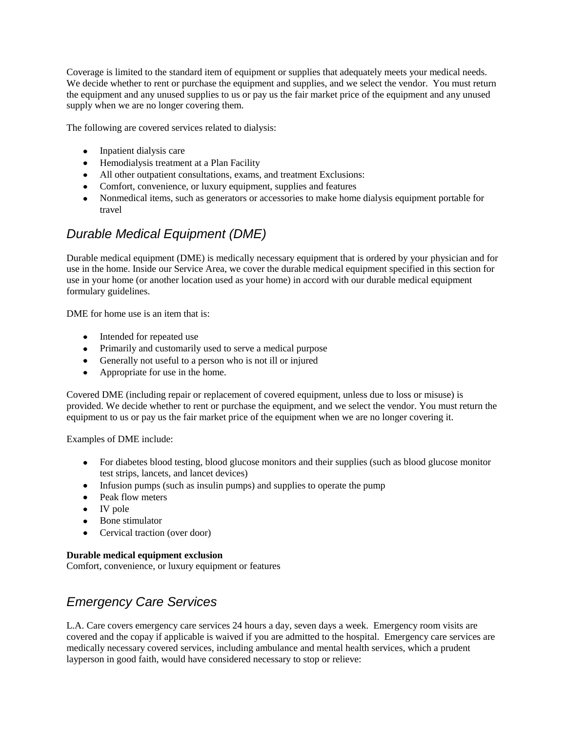Coverage is limited to the standard item of equipment or supplies that adequately meets your medical needs. We decide whether to rent or purchase the equipment and supplies, and we select the vendor. You must return the equipment and any unused supplies to us or pay us the fair market price of the equipment and any unused supply when we are no longer covering them.

The following are covered services related to dialysis:

- Inpatient dialysis care
- Hemodialysis treatment at a Plan Facility
- All other outpatient consultations, exams, and treatment Exclusions:
- Comfort, convenience, or luxury equipment, supplies and features
- Nonmedical items, such as generators or accessories to make home dialysis equipment portable for travel

# *Durable Medical Equipment (DME)*

Durable medical equipment (DME) is medically necessary equipment that is ordered by your physician and for use in the home. Inside our Service Area, we cover the durable medical equipment specified in this section for use in your home (or another location used as your home) in accord with our durable medical equipment formulary guidelines.

DME for home use is an item that is:

- Intended for repeated use
- Primarily and customarily used to serve a medical purpose
- Generally not useful to a person who is not ill or injured
- Appropriate for use in the home.

Covered DME (including repair or replacement of covered equipment, unless due to loss or misuse) is provided. We decide whether to rent or purchase the equipment, and we select the vendor. You must return the equipment to us or pay us the fair market price of the equipment when we are no longer covering it.

Examples of DME include:

- For diabetes blood testing, blood glucose monitors and their supplies (such as blood glucose monitor test strips, lancets, and lancet devices)
- Infusion pumps (such as insulin pumps) and supplies to operate the pump
- Peak flow meters
- IV pole
- Bone stimulator
- Cervical traction (over door)

### **Durable medical equipment exclusion**

Comfort, convenience, or luxury equipment or features

# *Emergency Care Services*

L.A. Care covers emergency care services 24 hours a day, seven days a week. Emergency room visits are covered and the copay if applicable is waived if you are admitted to the hospital. Emergency care services are medically necessary covered services, including ambulance and mental health services, which a prudent layperson in good faith, would have considered necessary to stop or relieve: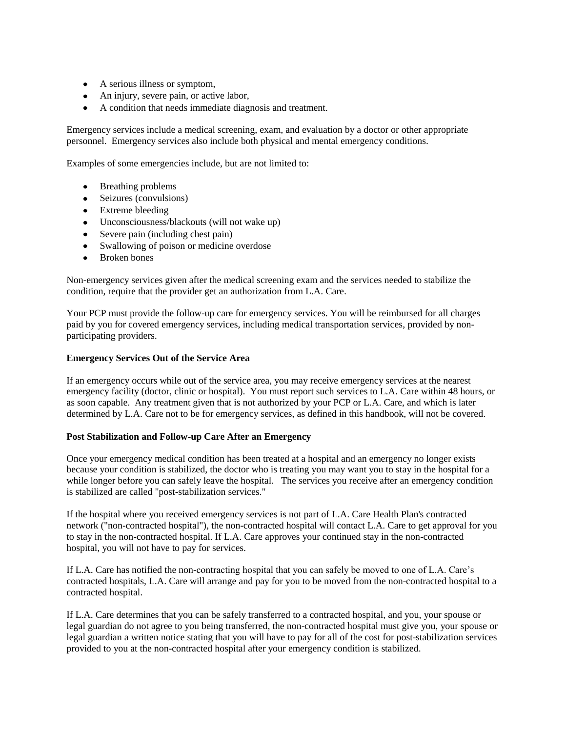- A serious illness or symptom,
- An injury, severe pain, or active labor,
- A condition that needs immediate diagnosis and treatment.

Emergency services include a medical screening, exam, and evaluation by a doctor or other appropriate personnel. Emergency services also include both physical and mental emergency conditions.

Examples of some emergencies include, but are not limited to:

- Breathing problems
- Seizures (convulsions)
- Extreme bleeding
- Unconsciousness/blackouts (will not wake up)
- Severe pain (including chest pain)
- Swallowing of poison or medicine overdose
- $\bullet$ Broken bones

Non-emergency services given after the medical screening exam and the services needed to stabilize the condition, require that the provider get an authorization from L.A. Care.

Your PCP must provide the follow-up care for emergency services. You will be reimbursed for all charges paid by you for covered emergency services, including medical transportation services, provided by nonparticipating providers.

#### **Emergency Services Out of the Service Area**

If an emergency occurs while out of the service area, you may receive emergency services at the nearest emergency facility (doctor, clinic or hospital). You must report such services to L.A. Care within 48 hours, or as soon capable. Any treatment given that is not authorized by your PCP or L.A. Care, and which is later determined by L.A. Care not to be for emergency services, as defined in this handbook, will not be covered.

#### **Post Stabilization and Follow-up Care After an Emergency**

Once your emergency medical condition has been treated at a hospital and an emergency no longer exists because your condition is stabilized, the doctor who is treating you may want you to stay in the hospital for a while longer before you can safely leave the hospital. The services you receive after an emergency condition is stabilized are called "post-stabilization services."

If the hospital where you received emergency services is not part of L.A. Care Health Plan's contracted network ("non-contracted hospital"), the non-contracted hospital will contact L.A. Care to get approval for you to stay in the non-contracted hospital. If L.A. Care approves your continued stay in the non-contracted hospital, you will not have to pay for services.

If L.A. Care has notified the non-contracting hospital that you can safely be moved to one of L.A. Care's contracted hospitals, L.A. Care will arrange and pay for you to be moved from the non-contracted hospital to a contracted hospital.

If L.A. Care determines that you can be safely transferred to a contracted hospital, and you, your spouse or legal guardian do not agree to you being transferred, the non-contracted hospital must give you, your spouse or legal guardian a written notice stating that you will have to pay for all of the cost for post-stabilization services provided to you at the non-contracted hospital after your emergency condition is stabilized.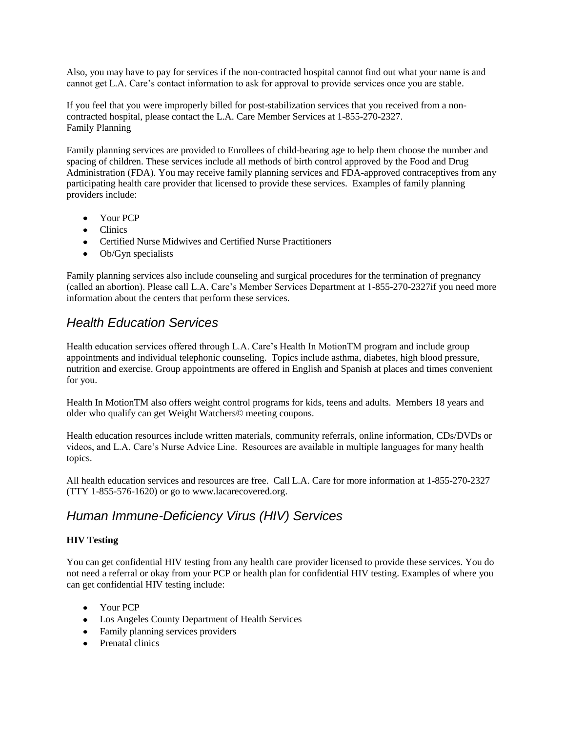Also, you may have to pay for services if the non-contracted hospital cannot find out what your name is and cannot get L.A. Care's contact information to ask for approval to provide services once you are stable.

If you feel that you were improperly billed for post-stabilization services that you received from a noncontracted hospital, please contact the L.A. Care Member Services at 1-855-270-2327. Family Planning

Family planning services are provided to Enrollees of child-bearing age to help them choose the number and spacing of children. These services include all methods of birth control approved by the Food and Drug Administration (FDA). You may receive family planning services and FDA-approved contraceptives from any participating health care provider that licensed to provide these services. Examples of family planning providers include:

- Your PCP
- Clinics
- Certified Nurse Midwives and Certified Nurse Practitioners
- Ob/Gyn specialists

Family planning services also include counseling and surgical procedures for the termination of pregnancy (called an abortion). Please call L.A. Care's Member Services Department at 1-855-270-2327if you need more information about the centers that perform these services.

# *Health Education Services*

Health education services offered through L.A. Care's Health In MotionTM program and include group appointments and individual telephonic counseling. Topics include asthma, diabetes, high blood pressure, nutrition and exercise. Group appointments are offered in English and Spanish at places and times convenient for you.

Health In MotionTM also offers weight control programs for kids, teens and adults. Members 18 years and older who qualify can get Weight Watchers© meeting coupons.

Health education resources include written materials, community referrals, online information, CDs/DVDs or videos, and L.A. Care's Nurse Advice Line. Resources are available in multiple languages for many health topics.

All health education services and resources are free. Call L.A. Care for more information at 1-855-270-2327 (TTY 1-855-576-1620) or go to www.lacarecovered.org.

# *Human Immune-Deficiency Virus (HIV) Services*

### **HIV Testing**

You can get confidential HIV testing from any health care provider licensed to provide these services. You do not need a referral or okay from your PCP or health plan for confidential HIV testing. Examples of where you can get confidential HIV testing include:

- Your PCP
- Los Angeles County Department of Health Services
- Family planning services providers
- Prenatal clinics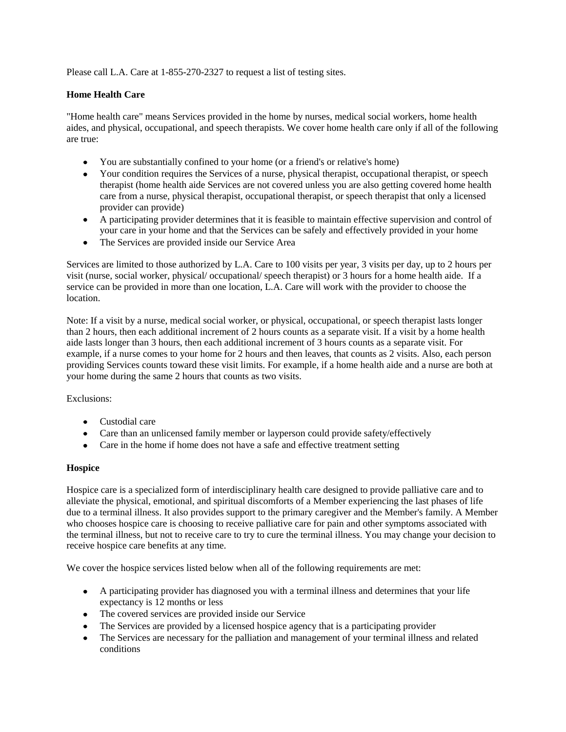Please call L.A. Care at 1-855-270-2327 to request a list of testing sites.

# **Home Health Care**

"Home health care" means Services provided in the home by nurses, medical social workers, home health aides, and physical, occupational, and speech therapists. We cover home health care only if all of the following are true:

- You are substantially confined to your home (or a friend's or relative's home)
- Your condition requires the Services of a nurse, physical therapist, occupational therapist, or speech therapist (home health aide Services are not covered unless you are also getting covered home health care from a nurse, physical therapist, occupational therapist, or speech therapist that only a licensed provider can provide)
- A participating provider determines that it is feasible to maintain effective supervision and control of your care in your home and that the Services can be safely and effectively provided in your home
- The Services are provided inside our Service Area

Services are limited to those authorized by L.A. Care to 100 visits per year, 3 visits per day, up to 2 hours per visit (nurse, social worker, physical/ occupational/ speech therapist) or 3 hours for a home health aide. If a service can be provided in more than one location, L.A. Care will work with the provider to choose the location.

Note: If a visit by a nurse, medical social worker, or physical, occupational, or speech therapist lasts longer than 2 hours, then each additional increment of 2 hours counts as a separate visit. If a visit by a home health aide lasts longer than 3 hours, then each additional increment of 3 hours counts as a separate visit. For example, if a nurse comes to your home for 2 hours and then leaves, that counts as 2 visits. Also, each person providing Services counts toward these visit limits. For example, if a home health aide and a nurse are both at your home during the same 2 hours that counts as two visits.

Exclusions:

- Custodial care
- Care than an unlicensed family member or layperson could provide safety/effectively
- Care in the home if home does not have a safe and effective treatment setting

### **Hospice**

Hospice care is a specialized form of interdisciplinary health care designed to provide palliative care and to alleviate the physical, emotional, and spiritual discomforts of a Member experiencing the last phases of life due to a terminal illness. It also provides support to the primary caregiver and the Member's family. A Member who chooses hospice care is choosing to receive palliative care for pain and other symptoms associated with the terminal illness, but not to receive care to try to cure the terminal illness. You may change your decision to receive hospice care benefits at any time.

We cover the hospice services listed below when all of the following requirements are met:

- A participating provider has diagnosed you with a terminal illness and determines that your life expectancy is 12 months or less
- The covered services are provided inside our Service
- The Services are provided by a licensed hospice agency that is a participating provider
- The Services are necessary for the palliation and management of your terminal illness and related  $\bullet$ conditions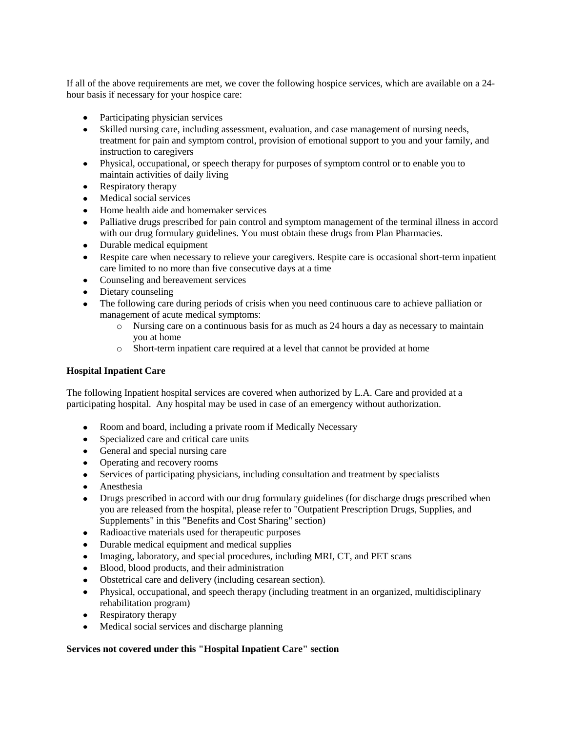If all of the above requirements are met, we cover the following hospice services, which are available on a 24 hour basis if necessary for your hospice care:

- Participating physician services
- Skilled nursing care, including assessment, evaluation, and case management of nursing needs, treatment for pain and symptom control, provision of emotional support to you and your family, and instruction to caregivers
- Physical, occupational, or speech therapy for purposes of symptom control or to enable you to maintain activities of daily living
- Respiratory therapy
- Medical social services
- Home health aide and homemaker services
- Palliative drugs prescribed for pain control and symptom management of the terminal illness in accord with our drug formulary guidelines. You must obtain these drugs from Plan Pharmacies.
- Durable medical equipment
- Respite care when necessary to relieve your caregivers. Respite care is occasional short-term inpatient care limited to no more than five consecutive days at a time
- Counseling and bereavement services
- Dietary counseling
- The following care during periods of crisis when you need continuous care to achieve palliation or management of acute medical symptoms:
	- o Nursing care on a continuous basis for as much as 24 hours a day as necessary to maintain you at home
	- o Short-term inpatient care required at a level that cannot be provided at home

#### **Hospital Inpatient Care**

The following Inpatient hospital services are covered when authorized by L.A. Care and provided at a participating hospital. Any hospital may be used in case of an emergency without authorization.

- Room and board, including a private room if Medically Necessary
- Specialized care and critical care units
- General and special nursing care
- Operating and recovery rooms
- Services of participating physicians, including consultation and treatment by specialists
- $\bullet$ Anesthesia
- Drugs prescribed in accord with our drug formulary guidelines (for discharge drugs prescribed when you are released from the hospital, please refer to "Outpatient Prescription Drugs, Supplies, and Supplements" in this "Benefits and Cost Sharing" section)
- $\bullet$ Radioactive materials used for therapeutic purposes
- Durable medical equipment and medical supplies
- Imaging, laboratory, and special procedures, including MRI, CT, and PET scans  $\bullet$
- Blood, blood products, and their administration  $\bullet$
- Obstetrical care and delivery (including cesarean section).
- Physical, occupational, and speech therapy (including treatment in an organized, multidisciplinary rehabilitation program)
- Respiratory therapy
- Medical social services and discharge planning  $\bullet$

#### **Services not covered under this "Hospital Inpatient Care" section**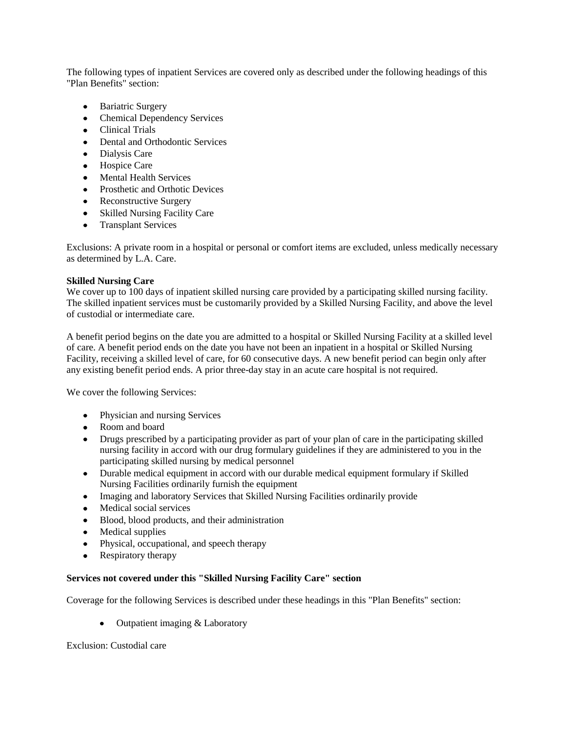The following types of inpatient Services are covered only as described under the following headings of this "Plan Benefits" section:

- $\bullet$  . Bariatric Surgery
- Chemical Dependency Services
- Clinical Trials
- Dental and Orthodontic Services
- Dialysis Care
- Hospice Care
- Mental Health Services
- Prosthetic and Orthotic Devices
- Reconstructive Surgery
- Skilled Nursing Facility Care
- Transplant Services

Exclusions: A private room in a hospital or personal or comfort items are excluded, unless medically necessary as determined by L.A. Care.

### **Skilled Nursing Care**

We cover up to 100 days of inpatient skilled nursing care provided by a participating skilled nursing facility. The skilled inpatient services must be customarily provided by a Skilled Nursing Facility, and above the level of custodial or intermediate care.

A benefit period begins on the date you are admitted to a hospital or Skilled Nursing Facility at a skilled level of care. A benefit period ends on the date you have not been an inpatient in a hospital or Skilled Nursing Facility, receiving a skilled level of care, for 60 consecutive days. A new benefit period can begin only after any existing benefit period ends. A prior three-day stay in an acute care hospital is not required.

We cover the following Services:

- Physician and nursing Services
- Room and board
- Drugs prescribed by a participating provider as part of your plan of care in the participating skilled nursing facility in accord with our drug formulary guidelines if they are administered to you in the participating skilled nursing by medical personnel
- Durable medical equipment in accord with our durable medical equipment formulary if Skilled Nursing Facilities ordinarily furnish the equipment
- Imaging and laboratory Services that Skilled Nursing Facilities ordinarily provide
- Medical social services
- Blood, blood products, and their administration
- Medical supplies
- Physical, occupational, and speech therapy
- Respiratory therapy

### **Services not covered under this "Skilled Nursing Facility Care" section**

Coverage for the following Services is described under these headings in this "Plan Benefits" section:

• Outpatient imaging & Laboratory

Exclusion: Custodial care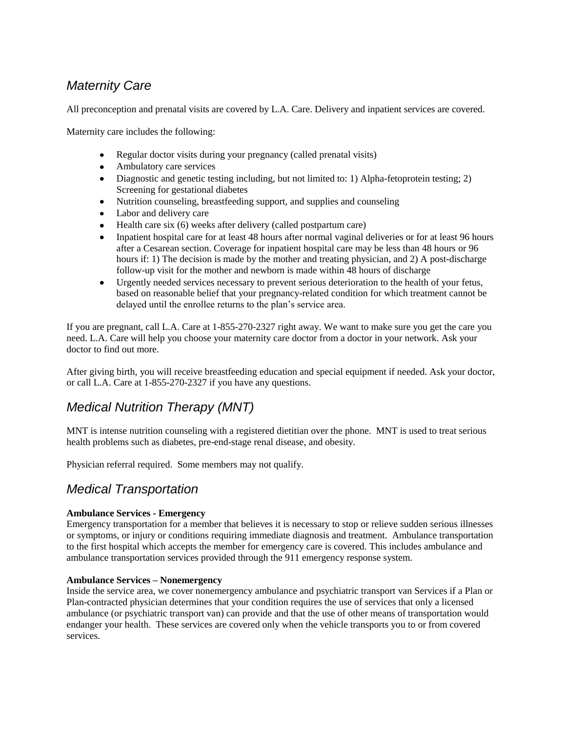# *Maternity Care*

All preconception and prenatal visits are covered by L.A. Care. Delivery and inpatient services are covered.

Maternity care includes the following:

- Regular doctor visits during your pregnancy (called prenatal visits)
- Ambulatory care services
- Diagnostic and genetic testing including, but not limited to: 1) Alpha-fetoprotein testing; 2) Screening for gestational diabetes
- Nutrition counseling, breastfeeding support, and supplies and counseling
- Labor and delivery care
- $\bullet$  Health care six (6) weeks after delivery (called postpartum care)
- Inpatient hospital care for at least 48 hours after normal vaginal deliveries or for at least 96 hours after a Cesarean section. Coverage for inpatient hospital care may be less than 48 hours or 96 hours if: 1) The decision is made by the mother and treating physician, and 2) A post-discharge follow-up visit for the mother and newborn is made within 48 hours of discharge
- Urgently needed services necessary to prevent serious deterioration to the health of your fetus, based on reasonable belief that your pregnancy-related condition for which treatment cannot be delayed until the enrollee returns to the plan's service area.

If you are pregnant, call L.A. Care at 1-855-270-2327 right away. We want to make sure you get the care you need. L.A. Care will help you choose your maternity care doctor from a doctor in your network. Ask your doctor to find out more.

After giving birth, you will receive breastfeeding education and special equipment if needed. Ask your doctor, or call L.A. Care at 1-855-270-2327 if you have any questions.

# *Medical Nutrition Therapy (MNT)*

MNT is intense nutrition counseling with a registered dietitian over the phone. MNT is used to treat serious health problems such as diabetes, pre-end-stage renal disease, and obesity.

Physician referral required. Some members may not qualify.

# *Medical Transportation*

### **Ambulance Services - Emergency**

Emergency transportation for a member that believes it is necessary to stop or relieve sudden serious illnesses or symptoms, or injury or conditions requiring immediate diagnosis and treatment. Ambulance transportation to the first hospital which accepts the member for emergency care is covered. This includes ambulance and ambulance transportation services provided through the 911 emergency response system.

#### **Ambulance Services – Nonemergency**

Inside the service area, we cover nonemergency ambulance and psychiatric transport van Services if a Plan or Plan-contracted physician determines that your condition requires the use of services that only a licensed ambulance (or psychiatric transport van) can provide and that the use of other means of transportation would endanger your health. These services are covered only when the vehicle transports you to or from covered services.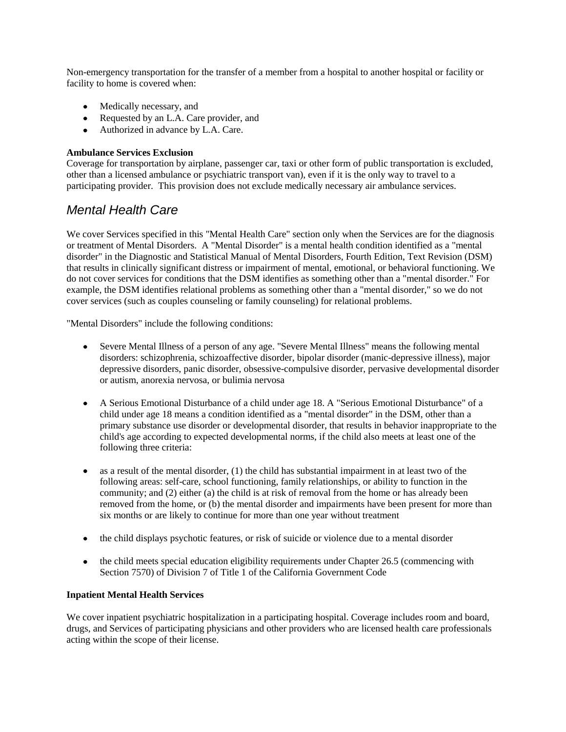Non-emergency transportation for the transfer of a member from a hospital to another hospital or facility or facility to home is covered when:

- Medically necessary, and
- Requested by an L.A. Care provider, and
- Authorized in advance by L.A. Care.

### **Ambulance Services Exclusion**

Coverage for transportation by airplane, passenger car, taxi or other form of public transportation is excluded, other than a licensed ambulance or psychiatric transport van), even if it is the only way to travel to a participating provider. This provision does not exclude medically necessary air ambulance services.

# *Mental Health Care*

We cover Services specified in this "Mental Health Care" section only when the Services are for the diagnosis or treatment of Mental Disorders. A "Mental Disorder" is a mental health condition identified as a "mental disorder" in the Diagnostic and Statistical Manual of Mental Disorders, Fourth Edition, Text Revision (DSM) that results in clinically significant distress or impairment of mental, emotional, or behavioral functioning. We do not cover services for conditions that the DSM identifies as something other than a "mental disorder." For example, the DSM identifies relational problems as something other than a "mental disorder," so we do not cover services (such as couples counseling or family counseling) for relational problems.

"Mental Disorders" include the following conditions:

- Severe Mental Illness of a person of any age. "Severe Mental Illness" means the following mental disorders: schizophrenia, schizoaffective disorder, bipolar disorder (manic-depressive illness), major depressive disorders, panic disorder, obsessive-compulsive disorder, pervasive developmental disorder or autism, anorexia nervosa, or bulimia nervosa
- A Serious Emotional Disturbance of a child under age 18. A "Serious Emotional Disturbance" of a child under age 18 means a condition identified as a "mental disorder" in the DSM, other than a primary substance use disorder or developmental disorder, that results in behavior inappropriate to the child's age according to expected developmental norms, if the child also meets at least one of the following three criteria:
- $\bullet$ as a result of the mental disorder, (1) the child has substantial impairment in at least two of the following areas: self-care, school functioning, family relationships, or ability to function in the community; and (2) either (a) the child is at risk of removal from the home or has already been removed from the home, or (b) the mental disorder and impairments have been present for more than six months or are likely to continue for more than one year without treatment
- the child displays psychotic features, or risk of suicide or violence due to a mental disorder
- $\bullet$  the child meets special education eligibility requirements under Chapter 26.5 (commencing with Section 7570) of Division 7 of Title 1 of the California Government Code

### **Inpatient Mental Health Services**

We cover inpatient psychiatric hospitalization in a participating hospital. Coverage includes room and board, drugs, and Services of participating physicians and other providers who are licensed health care professionals acting within the scope of their license.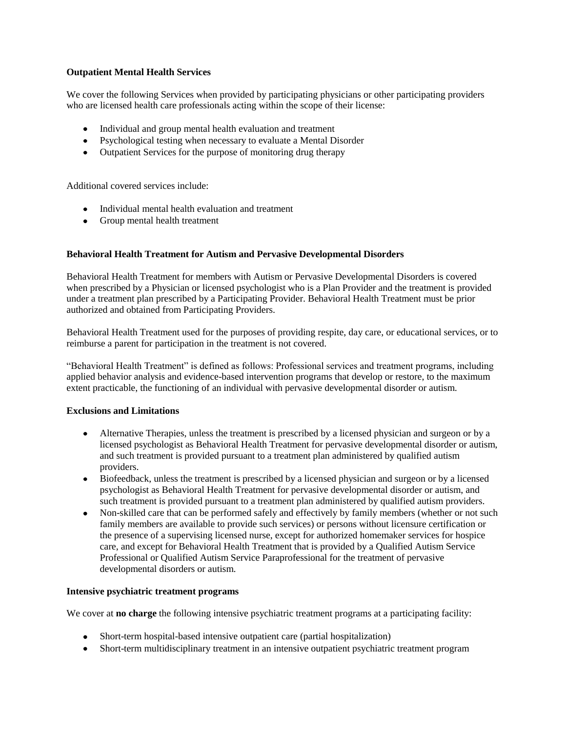### **Outpatient Mental Health Services**

We cover the following Services when provided by participating physicians or other participating providers who are licensed health care professionals acting within the scope of their license:

- Individual and group mental health evaluation and treatment
- Psychological testing when necessary to evaluate a Mental Disorder
- Outpatient Services for the purpose of monitoring drug therapy

Additional covered services include:

- Individual mental health evaluation and treatment
- Group mental health treatment

### **Behavioral Health Treatment for Autism and Pervasive Developmental Disorders**

Behavioral Health Treatment for members with Autism or Pervasive Developmental Disorders is covered when prescribed by a Physician or licensed psychologist who is a Plan Provider and the treatment is provided under a treatment plan prescribed by a Participating Provider. Behavioral Health Treatment must be prior authorized and obtained from Participating Providers.

Behavioral Health Treatment used for the purposes of providing respite, day care, or educational services, or to reimburse a parent for participation in the treatment is not covered.

"Behavioral Health Treatment" is defined as follows: Professional services and treatment programs, including applied behavior analysis and evidence-based intervention programs that develop or restore, to the maximum extent practicable, the functioning of an individual with pervasive developmental disorder or autism.

#### **Exclusions and Limitations**

- Alternative Therapies, unless the treatment is prescribed by a licensed physician and surgeon or by a licensed psychologist as Behavioral Health Treatment for pervasive developmental disorder or autism, and such treatment is provided pursuant to a treatment plan administered by qualified autism providers.
- Biofeedback, unless the treatment is prescribed by a licensed physician and surgeon or by a licensed psychologist as Behavioral Health Treatment for pervasive developmental disorder or autism, and such treatment is provided pursuant to a treatment plan administered by qualified autism providers.
- Non-skilled care that can be performed safely and effectively by family members (whether or not such  $\bullet$ family members are available to provide such services) or persons without licensure certification or the presence of a supervising licensed nurse, except for authorized homemaker services for hospice care, and except for Behavioral Health Treatment that is provided by a Qualified Autism Service Professional or Qualified Autism Service Paraprofessional for the treatment of pervasive developmental disorders or autism.

#### **Intensive psychiatric treatment programs**

We cover at **no charge** the following intensive psychiatric treatment programs at a participating facility:

- Short-term hospital-based intensive outpatient care (partial hospitalization)
- Short-term multidisciplinary treatment in an intensive outpatient psychiatric treatment program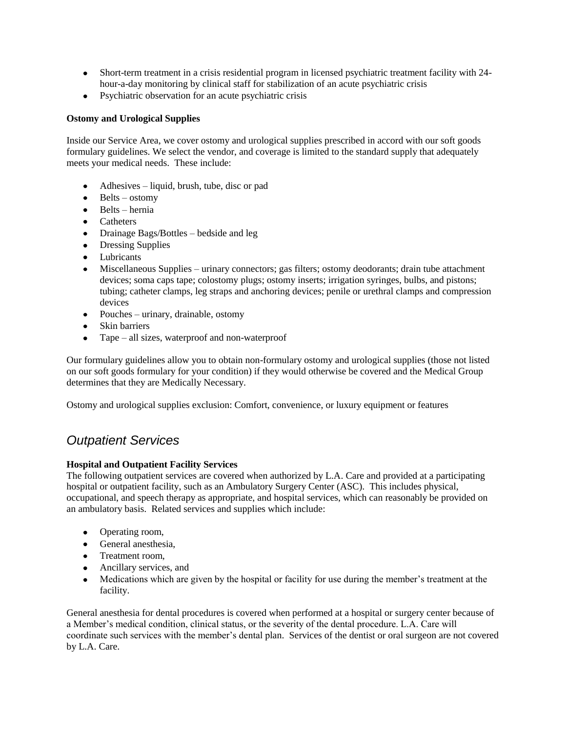- Short-term treatment in a crisis residential program in licensed psychiatric treatment facility with 24 hour-a-day monitoring by clinical staff for stabilization of an acute psychiatric crisis
- Psychiatric observation for an acute psychiatric crisis

# **Ostomy and Urological Supplies**

Inside our Service Area, we cover ostomy and urological supplies prescribed in accord with our soft goods formulary guidelines. We select the vendor, and coverage is limited to the standard supply that adequately meets your medical needs. These include:

- Adhesives liquid, brush, tube, disc or pad
- $\bullet$  Belts ostomy
- $\bullet$  Belts hernia
- Catheters
- Drainage Bags/Bottles bedside and leg
- Dressing Supplies
- Lubricants  $\bullet$
- Miscellaneous Supplies urinary connectors; gas filters; ostomy deodorants; drain tube attachment  $\bullet$ devices; soma caps tape; colostomy plugs; ostomy inserts; irrigation syringes, bulbs, and pistons; tubing; catheter clamps, leg straps and anchoring devices; penile or urethral clamps and compression devices
- $\bullet$  Pouches urinary, drainable, ostomy
- Skin barriers
- Tape all sizes, waterproof and non-waterproof

Our formulary guidelines allow you to obtain non-formulary ostomy and urological supplies (those not listed on our soft goods formulary for your condition) if they would otherwise be covered and the Medical Group determines that they are Medically Necessary.

Ostomy and urological supplies exclusion: Comfort, convenience, or luxury equipment or features

# *Outpatient Services*

### **Hospital and Outpatient Facility Services**

The following outpatient services are covered when authorized by L.A. Care and provided at a participating hospital or outpatient facility, such as an Ambulatory Surgery Center (ASC). This includes physical, occupational, and speech therapy as appropriate, and hospital services, which can reasonably be provided on an ambulatory basis. Related services and supplies which include:

- Operating room,
- General anesthesia,
- Treatment room,
- Ancillary services, and
- Medications which are given by the hospital or facility for use during the member's treatment at the facility.

General anesthesia for dental procedures is covered when performed at a hospital or surgery center because of a Member's medical condition, clinical status, or the severity of the dental procedure. L.A. Care will coordinate such services with the member's dental plan. Services of the dentist or oral surgeon are not covered by L.A. Care.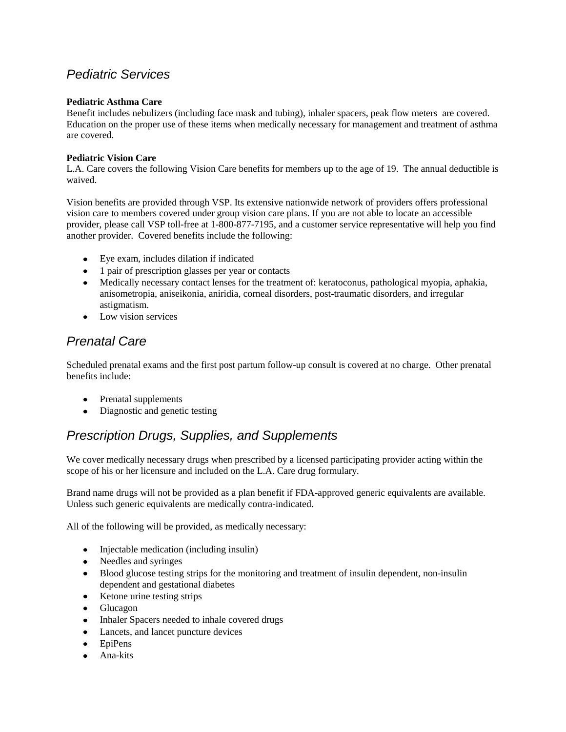# *Pediatric Services*

# **Pediatric Asthma Care**

Benefit includes nebulizers (including face mask and tubing), inhaler spacers, peak flow meters are covered. Education on the proper use of these items when medically necessary for management and treatment of asthma are covered.

# **Pediatric Vision Care**

L.A. Care covers the following Vision Care benefits for members up to the age of 19. The annual deductible is waived.

Vision benefits are provided through VSP. Its extensive nationwide network of providers offers professional vision care to members covered under group vision care plans. If you are not able to locate an accessible provider, please call VSP toll-free at 1-800-877-7195, and a customer service representative will help you find another provider. Covered benefits include the following:

- Eye exam, includes dilation if indicated
- 1 pair of prescription glasses per year or contacts
- Medically necessary contact lenses for the treatment of: keratoconus, pathological myopia, aphakia, anisometropia, aniseikonia, aniridia, corneal disorders, post-traumatic disorders, and irregular astigmatism.
- Low vision services

# *Prenatal Care*

Scheduled prenatal exams and the first post partum follow-up consult is covered at no charge. Other prenatal benefits include:

- Prenatal supplements
- Diagnostic and genetic testing

# *Prescription Drugs, Supplies, and Supplements*

We cover medically necessary drugs when prescribed by a licensed participating provider acting within the scope of his or her licensure and included on the L.A. Care drug formulary.

Brand name drugs will not be provided as a plan benefit if FDA-approved generic equivalents are available. Unless such generic equivalents are medically contra-indicated.

All of the following will be provided, as medically necessary:

- Injectable medication (including insulin)
- Needles and syringes
- Blood glucose testing strips for the monitoring and treatment of insulin dependent, non-insulin dependent and gestational diabetes
- Ketone urine testing strips
- Glucagon
- Inhaler Spacers needed to inhale covered drugs
- Lancets, and lancet puncture devices
- EpiPens
- Ana-kits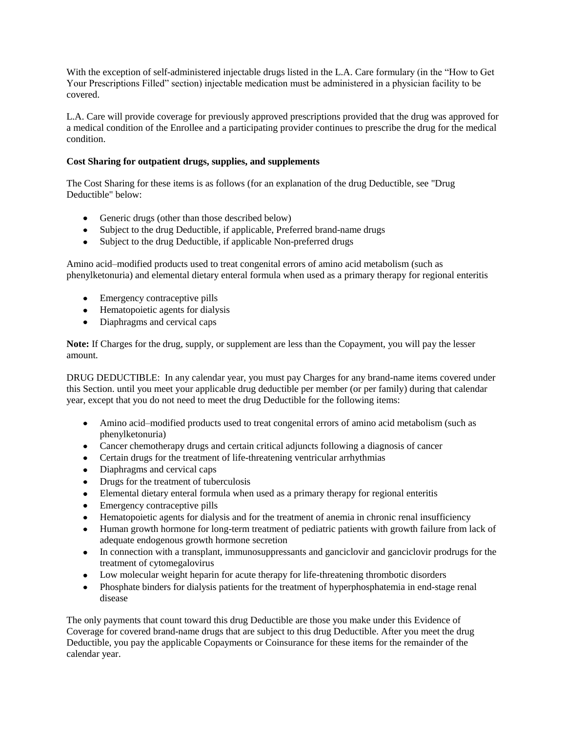With the exception of self-administered injectable drugs listed in the L.A. Care formulary (in the "How to Get Your Prescriptions Filled" section) injectable medication must be administered in a physician facility to be covered.

L.A. Care will provide coverage for previously approved prescriptions provided that the drug was approved for a medical condition of the Enrollee and a participating provider continues to prescribe the drug for the medical condition.

### **Cost Sharing for outpatient drugs, supplies, and supplements**

The Cost Sharing for these items is as follows (for an explanation of the drug Deductible, see "Drug Deductible" below:

- Generic drugs (other than those described below)
- Subject to the drug Deductible, if applicable, Preferred brand-name drugs
- Subject to the drug Deductible, if applicable Non-preferred drugs

Amino acid–modified products used to treat congenital errors of amino acid metabolism (such as phenylketonuria) and elemental dietary enteral formula when used as a primary therapy for regional enteritis

- Emergency contraceptive pills
- Hematopoietic agents for dialysis
- Diaphragms and cervical caps

**Note:** If Charges for the drug, supply, or supplement are less than the Copayment, you will pay the lesser amount.

DRUG DEDUCTIBLE: In any calendar year, you must pay Charges for any brand-name items covered under this Section. until you meet your applicable drug deductible per member (or per family) during that calendar year, except that you do not need to meet the drug Deductible for the following items:

- Amino acid–modified products used to treat congenital errors of amino acid metabolism (such as phenylketonuria)
- Cancer chemotherapy drugs and certain critical adjuncts following a diagnosis of cancer
- Certain drugs for the treatment of life-threatening ventricular arrhythmias
- Diaphragms and cervical caps
- Drugs for the treatment of tuberculosis
- Elemental dietary enteral formula when used as a primary therapy for regional enteritis
- Emergency contraceptive pills
- $\bullet$ Hematopoietic agents for dialysis and for the treatment of anemia in chronic renal insufficiency
- Human growth hormone for long-term treatment of pediatric patients with growth failure from lack of adequate endogenous growth hormone secretion
- In connection with a transplant, immunosuppressants and ganciclovir and ganciclovir prodrugs for the treatment of cytomegalovirus
- Low molecular weight heparin for acute therapy for life-threatening thrombotic disorders
- Phosphate binders for dialysis patients for the treatment of hyperphosphatemia in end-stage renal  $\bullet$ disease

The only payments that count toward this drug Deductible are those you make under this Evidence of Coverage for covered brand-name drugs that are subject to this drug Deductible. After you meet the drug Deductible, you pay the applicable Copayments or Coinsurance for these items for the remainder of the calendar year.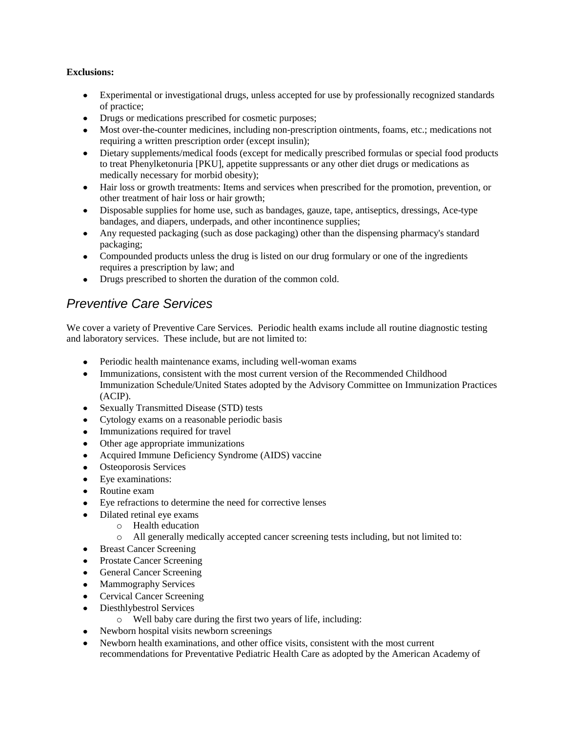# **Exclusions:**

- Experimental or investigational drugs, unless accepted for use by professionally recognized standards of practice;
- Drugs or medications prescribed for cosmetic purposes;
- Most over-the-counter medicines, including non-prescription ointments, foams, etc.; medications not requiring a written prescription order (except insulin);
- Dietary supplements/medical foods (except for medically prescribed formulas or special food products to treat Phenylketonuria [PKU], appetite suppressants or any other diet drugs or medications as medically necessary for morbid obesity);
- Hair loss or growth treatments: Items and services when prescribed for the promotion, prevention, or other treatment of hair loss or hair growth;
- Disposable supplies for home use, such as bandages, gauze, tape, antiseptics, dressings, Ace-type bandages, and diapers, underpads, and other incontinence supplies;
- Any requested packaging (such as dose packaging) other than the dispensing pharmacy's standard packaging;
- Compounded products unless the drug is listed on our drug formulary or one of the ingredients requires a prescription by law; and
- Drugs prescribed to shorten the duration of the common cold.

# *Preventive Care Services*

We cover a variety of Preventive Care Services. Periodic health exams include all routine diagnostic testing and laboratory services. These include, but are not limited to:

- Periodic health maintenance exams, including well-woman exams
- Immunizations, consistent with the most current version of the Recommended Childhood Immunization Schedule/United States adopted by the Advisory Committee on Immunization Practices (ACIP).
- Sexually Transmitted Disease (STD) tests
- Cytology exams on a reasonable periodic basis
- Immunizations required for travel
- Other age appropriate immunizations
- $\bullet$ Acquired Immune Deficiency Syndrome (AIDS) vaccine
- Osteoporosis Services
- $\bullet$ Eye examinations:
- $\bullet$ Routine exam
- Eye refractions to determine the need for corrective lenses
- Dilated retinal eye exams
	- o Health education
	- o All generally medically accepted cancer screening tests including, but not limited to:
- Breast Cancer Screening
- Prostate Cancer Screening
- General Cancer Screening
- Mammography Services
- Cervical Cancer Screening
- Diesthlybestrol Services  $\bullet$ 
	- o Well baby care during the first two years of life, including:
- Newborn hospital visits newborn screenings
- Newborn health examinations, and other office visits, consistent with the most current  $\bullet$ recommendations for Preventative Pediatric Health Care as adopted by the American Academy of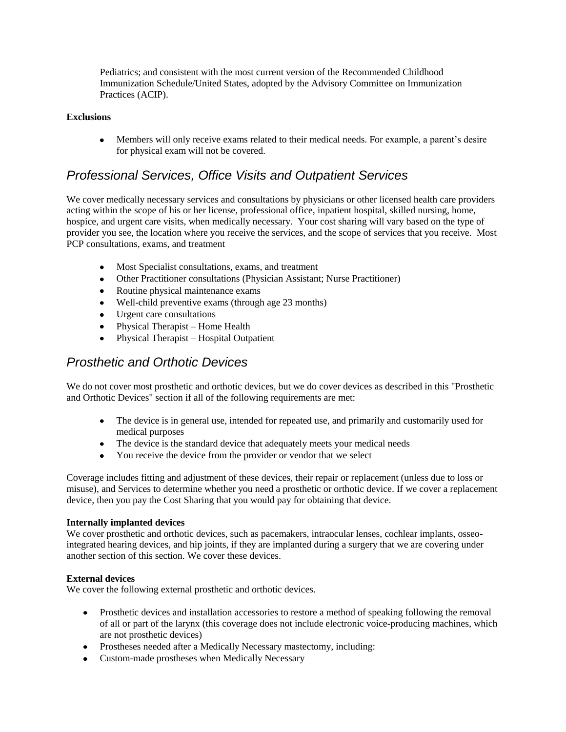Pediatrics; and consistent with the most current version of the Recommended Childhood Immunization Schedule/United States, adopted by the Advisory Committee on Immunization Practices (ACIP).

### **Exclusions**

Members will only receive exams related to their medical needs. For example, a parent's desire for physical exam will not be covered.

# *Professional Services, Office Visits and Outpatient Services*

We cover medically necessary services and consultations by physicians or other licensed health care providers acting within the scope of his or her license, professional office, inpatient hospital, skilled nursing, home, hospice, and urgent care visits, when medically necessary. Your cost sharing will vary based on the type of provider you see, the location where you receive the services, and the scope of services that you receive. Most PCP consultations, exams, and treatment

- Most Specialist consultations, exams, and treatment
- Other Practitioner consultations (Physician Assistant; Nurse Practitioner)
- Routine physical maintenance exams
- Well-child preventive exams (through age 23 months)
- Urgent care consultations
- Physical Therapist Home Health
- Physical Therapist Hospital Outpatient

# *Prosthetic and Orthotic Devices*

We do not cover most prosthetic and orthotic devices, but we do cover devices as described in this "Prosthetic and Orthotic Devices" section if all of the following requirements are met:

- The device is in general use, intended for repeated use, and primarily and customarily used for medical purposes
- The device is the standard device that adequately meets your medical needs
- You receive the device from the provider or vendor that we select

Coverage includes fitting and adjustment of these devices, their repair or replacement (unless due to loss or misuse), and Services to determine whether you need a prosthetic or orthotic device. If we cover a replacement device, then you pay the Cost Sharing that you would pay for obtaining that device.

#### **Internally implanted devices**

We cover prosthetic and orthotic devices, such as pacemakers, intraocular lenses, cochlear implants, osseointegrated hearing devices, and hip joints, if they are implanted during a surgery that we are covering under another section of this section. We cover these devices.

#### **External devices**

We cover the following external prosthetic and orthotic devices.

- Prosthetic devices and installation accessories to restore a method of speaking following the removal  $\bullet$ of all or part of the larynx (this coverage does not include electronic voice-producing machines, which are not prosthetic devices)
- Prostheses needed after a Medically Necessary mastectomy, including:
- Custom-made prostheses when Medically Necessary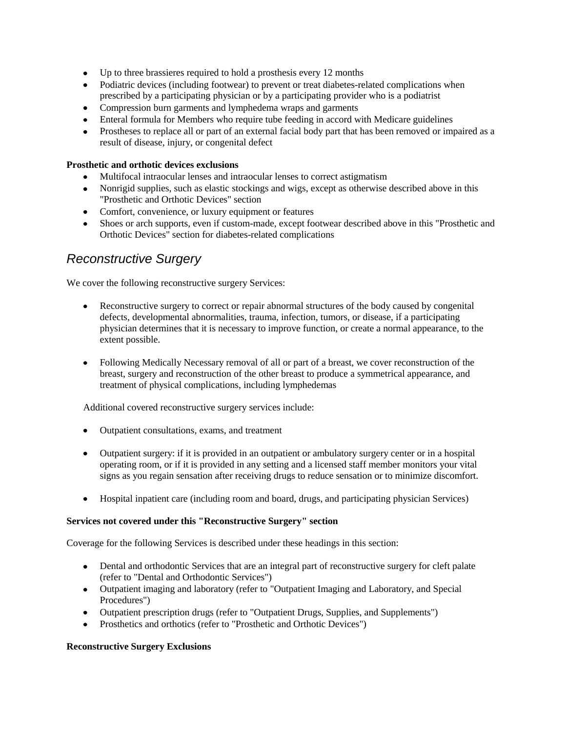- Up to three brassieres required to hold a prosthesis every 12 months
- Podiatric devices (including footwear) to prevent or treat diabetes-related complications when prescribed by a participating physician or by a participating provider who is a podiatrist
- Compression burn garments and lymphedema wraps and garments
- Enteral formula for Members who require tube feeding in accord with Medicare guidelines
- Prostheses to replace all or part of an external facial body part that has been removed or impaired as a result of disease, injury, or congenital defect

# **Prosthetic and orthotic devices exclusions**

- Multifocal intraocular lenses and intraocular lenses to correct astigmatism
- Nonrigid supplies, such as elastic stockings and wigs, except as otherwise described above in this "Prosthetic and Orthotic Devices" section
- Comfort, convenience, or luxury equipment or features
- Shoes or arch supports, even if custom-made, except footwear described above in this "Prosthetic and Orthotic Devices" section for diabetes-related complications

# *Reconstructive Surgery*

We cover the following reconstructive surgery Services:

- Reconstructive surgery to correct or repair abnormal structures of the body caused by congenital  $\bullet$ defects, developmental abnormalities, trauma, infection, tumors, or disease, if a participating physician determines that it is necessary to improve function, or create a normal appearance, to the extent possible.
- Following Medically Necessary removal of all or part of a breast, we cover reconstruction of the breast, surgery and reconstruction of the other breast to produce a symmetrical appearance, and treatment of physical complications, including lymphedemas

Additional covered reconstructive surgery services include:

- Outpatient consultations, exams, and treatment
- Outpatient surgery: if it is provided in an outpatient or ambulatory surgery center or in a hospital operating room, or if it is provided in any setting and a licensed staff member monitors your vital signs as you regain sensation after receiving drugs to reduce sensation or to minimize discomfort.
- Hospital inpatient care (including room and board, drugs, and participating physician Services)

#### **Services not covered under this "Reconstructive Surgery" section**

Coverage for the following Services is described under these headings in this section:

- Dental and orthodontic Services that are an integral part of reconstructive surgery for cleft palate (refer to "Dental and Orthodontic Services")
- Outpatient imaging and laboratory (refer to "Outpatient Imaging and Laboratory, and Special Procedures")
- Outpatient prescription drugs (refer to "Outpatient Drugs, Supplies, and Supplements")
- Prosthetics and orthotics (refer to "Prosthetic and Orthotic Devices")

#### **Reconstructive Surgery Exclusions**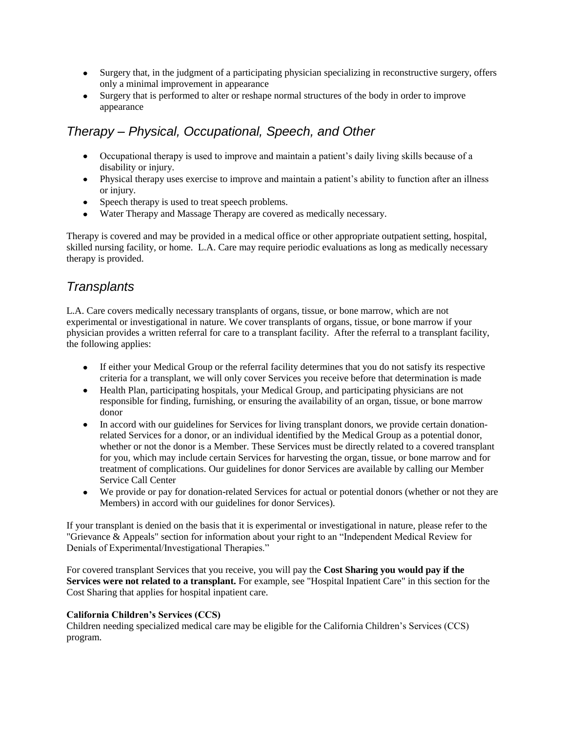- Surgery that, in the judgment of a participating physician specializing in reconstructive surgery, offers only a minimal improvement in appearance
- Surgery that is performed to alter or reshape normal structures of the body in order to improve appearance

# *Therapy – Physical, Occupational, Speech, and Other*

- Occupational therapy is used to improve and maintain a patient's daily living skills because of a disability or injury.
- Physical therapy uses exercise to improve and maintain a patient's ability to function after an illness or injury.
- Speech therapy is used to treat speech problems.
- Water Therapy and Massage Therapy are covered as medically necessary.

Therapy is covered and may be provided in a medical office or other appropriate outpatient setting, hospital, skilled nursing facility, or home. L.A. Care may require periodic evaluations as long as medically necessary therapy is provided.

# *Transplants*

L.A. Care covers medically necessary transplants of organs, tissue, or bone marrow, which are not experimental or investigational in nature. We cover transplants of organs, tissue, or bone marrow if your physician provides a written referral for care to a transplant facility. After the referral to a transplant facility, the following applies:

- If either your Medical Group or the referral facility determines that you do not satisfy its respective criteria for a transplant, we will only cover Services you receive before that determination is made
- Health Plan, participating hospitals, your Medical Group, and participating physicians are not responsible for finding, furnishing, or ensuring the availability of an organ, tissue, or bone marrow donor
- In accord with our guidelines for Services for living transplant donors, we provide certain donationrelated Services for a donor, or an individual identified by the Medical Group as a potential donor, whether or not the donor is a Member. These Services must be directly related to a covered transplant for you, which may include certain Services for harvesting the organ, tissue, or bone marrow and for treatment of complications. Our guidelines for donor Services are available by calling our Member Service Call Center
- We provide or pay for donation-related Services for actual or potential donors (whether or not they are Members) in accord with our guidelines for donor Services).

If your transplant is denied on the basis that it is experimental or investigational in nature, please refer to the "Grievance & Appeals" section for information about your right to an "Independent Medical Review for Denials of Experimental/Investigational Therapies."

For covered transplant Services that you receive, you will pay the **Cost Sharing you would pay if the Services were not related to a transplant.** For example, see "Hospital Inpatient Care" in this section for the Cost Sharing that applies for hospital inpatient care.

# **California Children's Services (CCS)**

Children needing specialized medical care may be eligible for the California Children's Services (CCS) program.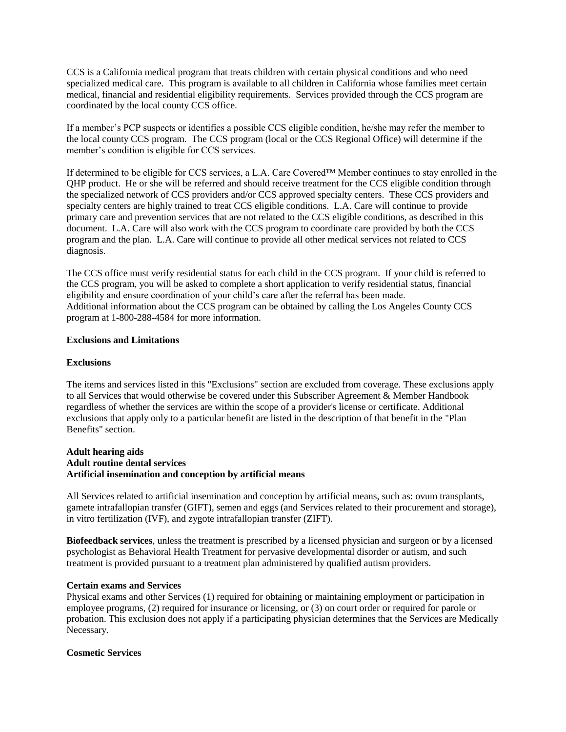CCS is a California medical program that treats children with certain physical conditions and who need specialized medical care. This program is available to all children in California whose families meet certain medical, financial and residential eligibility requirements. Services provided through the CCS program are coordinated by the local county CCS office.

If a member's PCP suspects or identifies a possible CCS eligible condition, he/she may refer the member to the local county CCS program. The CCS program (local or the CCS Regional Office) will determine if the member's condition is eligible for CCS services.

If determined to be eligible for CCS services, a L.A. Care Covered™ Member continues to stay enrolled in the QHP product. He or she will be referred and should receive treatment for the CCS eligible condition through the specialized network of CCS providers and/or CCS approved specialty centers. These CCS providers and specialty centers are highly trained to treat CCS eligible conditions. L.A. Care will continue to provide primary care and prevention services that are not related to the CCS eligible conditions, as described in this document. L.A. Care will also work with the CCS program to coordinate care provided by both the CCS program and the plan. L.A. Care will continue to provide all other medical services not related to CCS diagnosis.

The CCS office must verify residential status for each child in the CCS program. If your child is referred to the CCS program, you will be asked to complete a short application to verify residential status, financial eligibility and ensure coordination of your child's care after the referral has been made. Additional information about the CCS program can be obtained by calling the Los Angeles County CCS program at 1-800-288-4584 for more information.

#### **Exclusions and Limitations**

#### **Exclusions**

The items and services listed in this "Exclusions" section are excluded from coverage. These exclusions apply to all Services that would otherwise be covered under this Subscriber Agreement & Member Handbook regardless of whether the services are within the scope of a provider's license or certificate. Additional exclusions that apply only to a particular benefit are listed in the description of that benefit in the "Plan Benefits" section.

### **Adult hearing aids Adult routine dental services Artificial insemination and conception by artificial means**

All Services related to artificial insemination and conception by artificial means, such as: ovum transplants, gamete intrafallopian transfer (GIFT), semen and eggs (and Services related to their procurement and storage), in vitro fertilization (IVF), and zygote intrafallopian transfer (ZIFT).

**Biofeedback services**, unless the treatment is prescribed by a licensed physician and surgeon or by a licensed psychologist as Behavioral Health Treatment for pervasive developmental disorder or autism, and such treatment is provided pursuant to a treatment plan administered by qualified autism providers.

#### **Certain exams and Services**

Physical exams and other Services (1) required for obtaining or maintaining employment or participation in employee programs, (2) required for insurance or licensing, or (3) on court order or required for parole or probation. This exclusion does not apply if a participating physician determines that the Services are Medically Necessary.

#### **Cosmetic Services**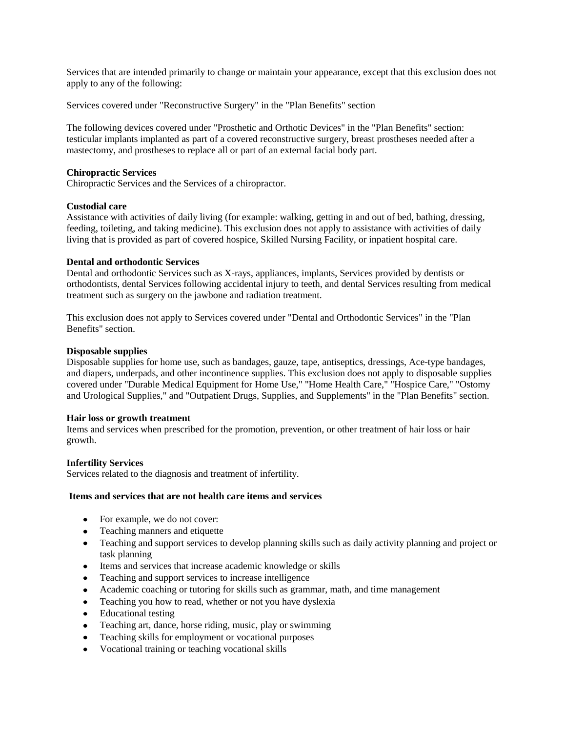Services that are intended primarily to change or maintain your appearance, except that this exclusion does not apply to any of the following:

Services covered under "Reconstructive Surgery" in the "Plan Benefits" section

The following devices covered under "Prosthetic and Orthotic Devices" in the "Plan Benefits" section: testicular implants implanted as part of a covered reconstructive surgery, breast prostheses needed after a mastectomy, and prostheses to replace all or part of an external facial body part.

#### **Chiropractic Services**

Chiropractic Services and the Services of a chiropractor.

#### **Custodial care**

Assistance with activities of daily living (for example: walking, getting in and out of bed, bathing, dressing, feeding, toileting, and taking medicine). This exclusion does not apply to assistance with activities of daily living that is provided as part of covered hospice, Skilled Nursing Facility, or inpatient hospital care.

#### **Dental and orthodontic Services**

Dental and orthodontic Services such as X-rays, appliances, implants, Services provided by dentists or orthodontists, dental Services following accidental injury to teeth, and dental Services resulting from medical treatment such as surgery on the jawbone and radiation treatment.

This exclusion does not apply to Services covered under "Dental and Orthodontic Services" in the "Plan Benefits" section.

#### **Disposable supplies**

Disposable supplies for home use, such as bandages, gauze, tape, antiseptics, dressings, Ace-type bandages, and diapers, underpads, and other incontinence supplies. This exclusion does not apply to disposable supplies covered under "Durable Medical Equipment for Home Use," "Home Health Care," "Hospice Care," "Ostomy and Urological Supplies," and "Outpatient Drugs, Supplies, and Supplements" in the "Plan Benefits" section.

#### **Hair loss or growth treatment**

Items and services when prescribed for the promotion, prevention, or other treatment of hair loss or hair growth.

#### **Infertility Services**

Services related to the diagnosis and treatment of infertility.

#### **Items and services that are not health care items and services**

- For example, we do not cover:
- Teaching manners and etiquette
- Teaching and support services to develop planning skills such as daily activity planning and project or task planning
- Items and services that increase academic knowledge or skills
- Teaching and support services to increase intelligence
- Academic coaching or tutoring for skills such as grammar, math, and time management
- Teaching you how to read, whether or not you have dyslexia  $\bullet$
- Educational testing
- Teaching art, dance, horse riding, music, play or swimming  $\bullet$
- Teaching skills for employment or vocational purposes
- Vocational training or teaching vocational skills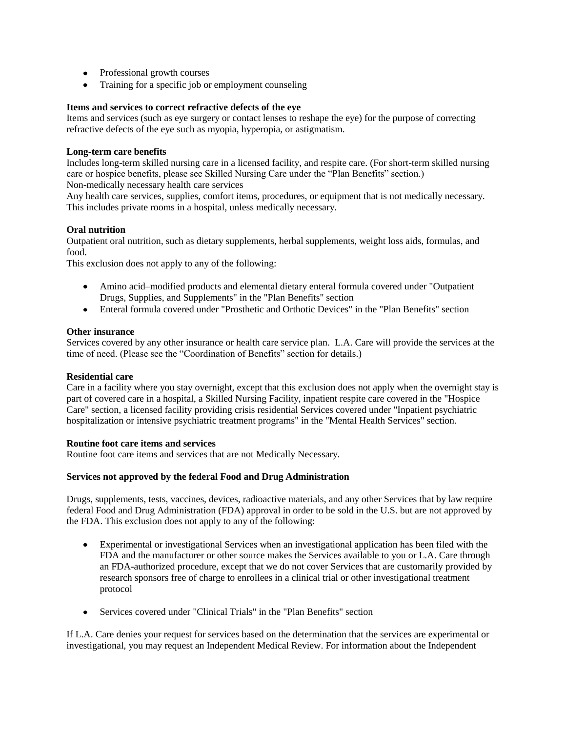- Professional growth courses
- Training for a specific job or employment counseling

#### **Items and services to correct refractive defects of the eye**

Items and services (such as eye surgery or contact lenses to reshape the eye) for the purpose of correcting refractive defects of the eye such as myopia, hyperopia, or astigmatism.

### **Long-term care benefits**

Includes long-term skilled nursing care in a licensed facility, and respite care. (For short-term skilled nursing care or hospice benefits, please see Skilled Nursing Care under the "Plan Benefits" section.)

Non-medically necessary health care services

Any health care services, supplies, comfort items, procedures, or equipment that is not medically necessary. This includes private rooms in a hospital, unless medically necessary.

#### **Oral nutrition**

Outpatient oral nutrition, such as dietary supplements, herbal supplements, weight loss aids, formulas, and food.

This exclusion does not apply to any of the following:

- Amino acid–modified products and elemental dietary enteral formula covered under "Outpatient Drugs, Supplies, and Supplements" in the "Plan Benefits" section
- Enteral formula covered under "Prosthetic and Orthotic Devices" in the "Plan Benefits" section

#### **Other insurance**

Services covered by any other insurance or health care service plan. L.A. Care will provide the services at the time of need. (Please see the "Coordination of Benefits" section for details.)

#### **Residential care**

Care in a facility where you stay overnight, except that this exclusion does not apply when the overnight stay is part of covered care in a hospital, a Skilled Nursing Facility, inpatient respite care covered in the "Hospice Care" section, a licensed facility providing crisis residential Services covered under "Inpatient psychiatric hospitalization or intensive psychiatric treatment programs" in the "Mental Health Services" section.

#### **Routine foot care items and services**

Routine foot care items and services that are not Medically Necessary.

#### **Services not approved by the federal Food and Drug Administration**

Drugs, supplements, tests, vaccines, devices, radioactive materials, and any other Services that by law require federal Food and Drug Administration (FDA) approval in order to be sold in the U.S. but are not approved by the FDA. This exclusion does not apply to any of the following:

- Experimental or investigational Services when an investigational application has been filed with the FDA and the manufacturer or other source makes the Services available to you or L.A. Care through an FDA-authorized procedure, except that we do not cover Services that are customarily provided by research sponsors free of charge to enrollees in a clinical trial or other investigational treatment protocol
- Services covered under "Clinical Trials" in the "Plan Benefits" section  $\bullet$

If L.A. Care denies your request for services based on the determination that the services are experimental or investigational, you may request an Independent Medical Review. For information about the Independent